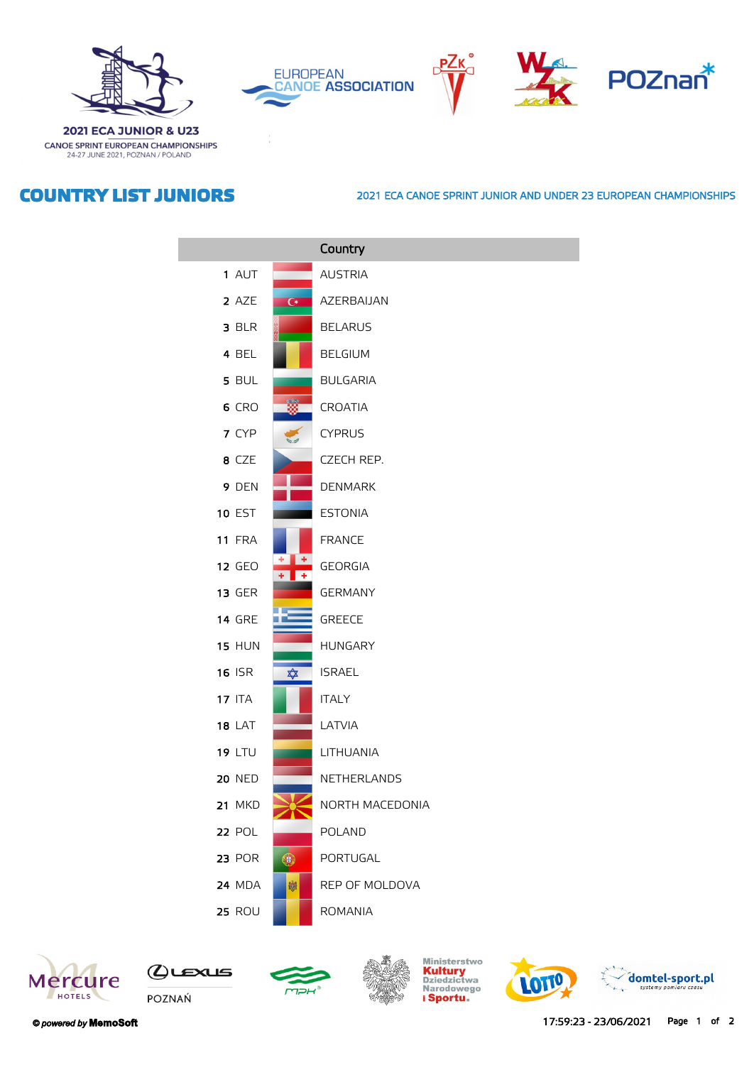







**2021 ECA JUNIOR & U23** CANOE SPRINT EUROPEAN CHAMPIONSHIPS 24-27 JUNE 2021, POZNAN / POLAND

## **COUNTRY LIST JUNIORS**

## **2021 ECA CANOE SPRINT JUNIOR AND UNDER 23 EUROPEAN CHAMPIONSHIPS**

|               |                | Country         |
|---------------|----------------|-----------------|
| 1 AUT         |                | <b>AUSTRIA</b>  |
| 2 AZE         | $\overline{C}$ | AZERBAIJAN      |
| 3 BLR         |                | <b>BELARUS</b>  |
| 4 BEL         |                | <b>BELGIUM</b>  |
| 5 BUL         |                | <b>BULGARIA</b> |
| 6 CRO         |                | CROATIA         |
| 7 CYP         |                | <b>CYPRUS</b>   |
| 8 CZE         |                | CZECH REP.      |
| 9 DEN         |                | <b>DENMARK</b>  |
| <b>10 EST</b> |                | <b>ESTONIA</b>  |
| <b>11 FRA</b> |                | <b>FRANCE</b>   |
| <b>12 GEO</b> |                | <b>GEORGIA</b>  |
| <b>13 GER</b> |                | <b>GERMANY</b>  |
| <b>14 GRE</b> |                | <b>GREECE</b>   |
| <b>15 HUN</b> |                | <b>HUNGARY</b>  |
| <b>16 ISR</b> | ✿              | <b>ISRAEL</b>   |
| <b>17 ITA</b> |                | <b>ITALY</b>    |
| <b>18 LAT</b> |                | LATVIA          |
| <b>19 LTU</b> |                | LITHUANIA       |
| <b>20 NED</b> |                | NETHERLANDS     |
| <b>21 MKD</b> |                | NORTH MACEDONIA |
| 22 POL        |                | <b>POLAND</b>   |
| <b>23 POR</b> | ۰              | PORTUGAL        |
| <b>24 MDA</b> | 皦              | REP OF MOLDOVA  |
| <b>25 ROU</b> |                | <b>ROMANIA</b>  |